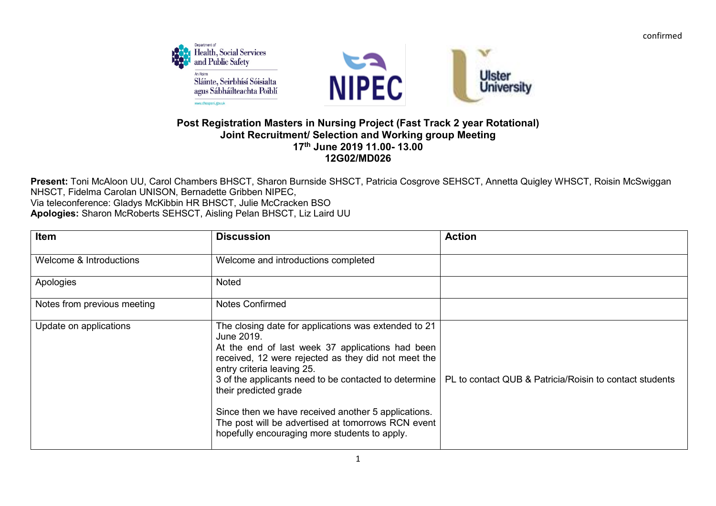confirmed



## **Post Registration Masters in Nursing Project (Fast Track 2 year Rotational) Joint Recruitment/ Selection and Working group Meeting 17th June 2019 11.00- 13.00 12G02/MD026**

**Present:** Toni McAloon UU, Carol Chambers BHSCT, Sharon Burnside SHSCT, Patricia Cosgrove SEHSCT, Annetta Quigley WHSCT, Roisin McSwiggan NHSCT, Fidelma Carolan UNISON, Bernadette Gribben NIPEC, Via teleconference: Gladys McKibbin HR BHSCT, Julie McCracken BSO **Apologies:** Sharon McRoberts SEHSCT, Aisling Pelan BHSCT, Liz Laird UU

| Item                        | <b>Discussion</b>                                                                                                                                                                                                                                                                                                                                                                                  | <b>Action</b>                                                                                                   |
|-----------------------------|----------------------------------------------------------------------------------------------------------------------------------------------------------------------------------------------------------------------------------------------------------------------------------------------------------------------------------------------------------------------------------------------------|-----------------------------------------------------------------------------------------------------------------|
| Welcome & Introductions     | Welcome and introductions completed                                                                                                                                                                                                                                                                                                                                                                |                                                                                                                 |
| Apologies                   | <b>Noted</b>                                                                                                                                                                                                                                                                                                                                                                                       |                                                                                                                 |
| Notes from previous meeting | <b>Notes Confirmed</b>                                                                                                                                                                                                                                                                                                                                                                             |                                                                                                                 |
| Update on applications      | The closing date for applications was extended to 21<br>June 2019.<br>At the end of last week 37 applications had been<br>received, 12 were rejected as they did not meet the<br>entry criteria leaving 25.<br>their predicted grade<br>Since then we have received another 5 applications.<br>The post will be advertised at tomorrows RCN event<br>hopefully encouraging more students to apply. | 3 of the applicants need to be contacted to determine   PL to contact QUB & Patricia/Roisin to contact students |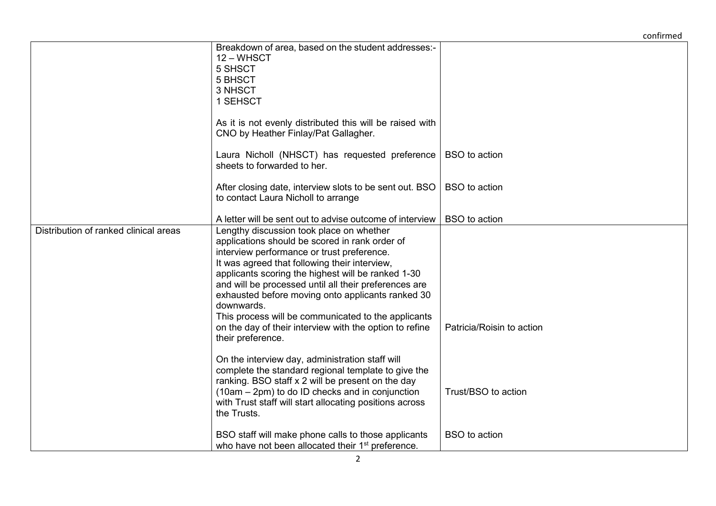## confirmed

|                                       | Breakdown of area, based on the student addresses:-<br>12 - WHSCT<br>5 SHSCT<br>5 BHSCT<br>3 NHSCT<br>1 SEHSCT                                                                                                                                                                                                                                                                                                                                                                                                     |                           |
|---------------------------------------|--------------------------------------------------------------------------------------------------------------------------------------------------------------------------------------------------------------------------------------------------------------------------------------------------------------------------------------------------------------------------------------------------------------------------------------------------------------------------------------------------------------------|---------------------------|
|                                       | As it is not evenly distributed this will be raised with<br>CNO by Heather Finlay/Pat Gallagher.                                                                                                                                                                                                                                                                                                                                                                                                                   |                           |
|                                       | Laura Nicholl (NHSCT) has requested preference<br>sheets to forwarded to her.                                                                                                                                                                                                                                                                                                                                                                                                                                      | <b>BSO</b> to action      |
|                                       | After closing date, interview slots to be sent out. BSO<br>to contact Laura Nicholl to arrange                                                                                                                                                                                                                                                                                                                                                                                                                     | <b>BSO</b> to action      |
|                                       | A letter will be sent out to advise outcome of interview                                                                                                                                                                                                                                                                                                                                                                                                                                                           | <b>BSO</b> to action      |
| Distribution of ranked clinical areas | Lengthy discussion took place on whether<br>applications should be scored in rank order of<br>interview performance or trust preference.<br>It was agreed that following their interview,<br>applicants scoring the highest will be ranked 1-30<br>and will be processed until all their preferences are<br>exhausted before moving onto applicants ranked 30<br>downwards.<br>This process will be communicated to the applicants<br>on the day of their interview with the option to refine<br>their preference. | Patricia/Roisin to action |
|                                       | On the interview day, administration staff will<br>complete the standard regional template to give the<br>ranking. BSO staff x 2 will be present on the day<br>(10am – 2pm) to do ID checks and in conjunction<br>with Trust staff will start allocating positions across<br>the Trusts.                                                                                                                                                                                                                           | Trust/BSO to action       |
|                                       | BSO staff will make phone calls to those applicants<br>who have not been allocated their 1 <sup>st</sup> preference.                                                                                                                                                                                                                                                                                                                                                                                               | <b>BSO</b> to action      |